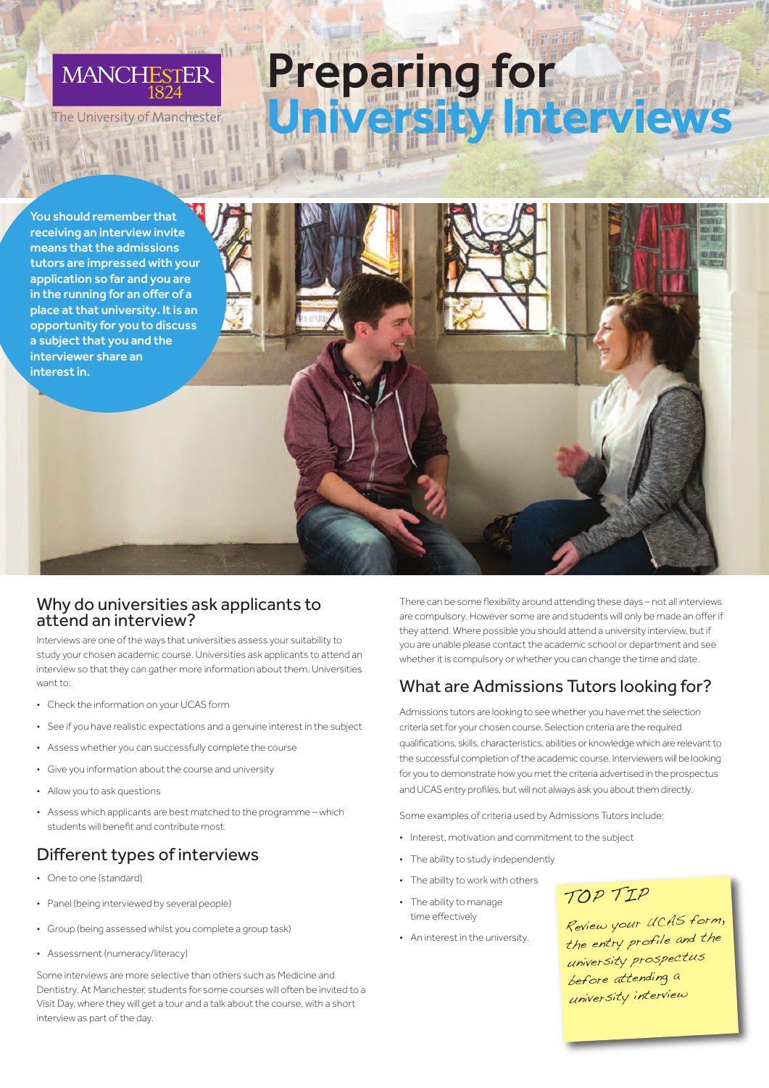

he University of Manchester

You should remember that receiving an interview invite means that the admissions tutors are impressed with your application so far and you are in the running for an offer of a place at that university. It is an opportunity for you to discuss a subject that you and the interviewer share an interest in.

#### Why do universities ask applicants to attend an interview?

Interviews are one of the ways that universities assess your suitability to study your chosen academic course. Universities ask applicants to attend an interview so that they can gather more information about them. Universities want to:

- Check the information on your UCAS form
- See if you have realistic expectations and a genuine interest in the subject
- Assess whether you can successfully complete the course
- Give you information about the course and university
- Allow you to ask questions
- Assess which applicants are best matched to the programme which students will benefit and contribute most.

#### Different types of interviews

- One to one (standard)
- Panel (being interviewed by several people)
- Group (being assessed whilst you complete a group task)
- Assessment (numeracy/literacy)

Some interviews are more selective than others such as Medicine and Dentistry. At Manchester, students for some courses will often be invited to a Visit Day, where they will get a tour and a talk about the course, with a short interview as part of the day.

There can be some flexibility around attending these days – not all interviews are compulsory. However some are and students will only be made an offer if they attend. Where possible you should attend a university interview, but if you are unable please contact the academic school or department and see whether it is compulsory or whether you can change the time and date.

#### What are Admissions Tutors looking for?

Admissions tutors are looking to see whether you have met the selection criteria set for your chosen course. Selection criteria are the required qualifications, skills, characteristics, abilities or knowledge which are relevant to the successful completion of the academic course. Interviewers will be looking for you to demonstrate howyou metthe criteria advertised in the prospectus and UCAS entry profiles, but will not always ask you about them directly

Some examples of criteria used by Admissions Tutors include:

- Interest, motivation and commitment to the subject
- The ability to study independently
- The ability to work with others
- The ability to manage time effectively

Preparing for

**University Interviews**

• An interest in the university.

### TOP TIP

Review your UCAS form, the entry profile and the university prospectus before attending <sup>a</sup> university interview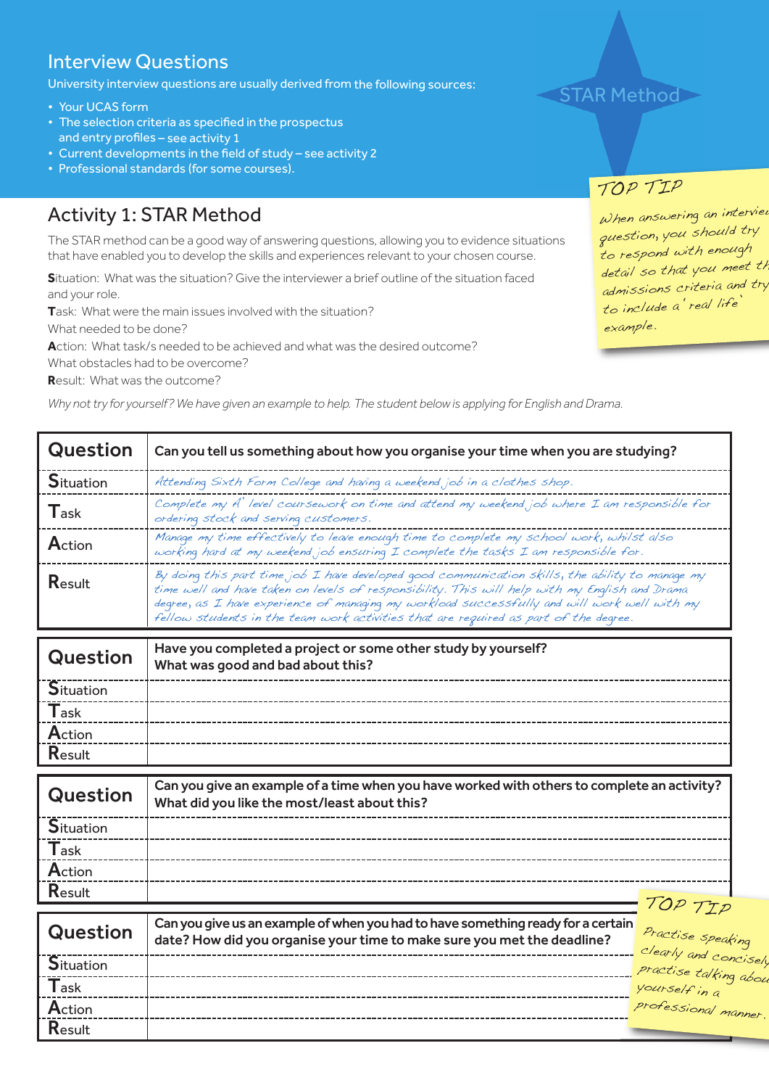## Interview Questions

University interview questions are usually derived from the following sources:

- Your UCAS form
- The selection criteria as specified in the prospectus and entry profiles – see activity 1
- Current developments in the field of study see activity 2
- Professional standards (for some courses).

## Activity 1: STAR Method

The STAR method can be a good way of answering questions, allowing you to evidence situations that have enabled you to develop the skills and experiences relevant to your chosen course.

**S**ituation: What was the situation? Give the interviewer a brief outline of the situation faced and your role.

**T**ask: What were the main issues involved with the situation?

What needed to be done?

**A**ction: What task/s needed to be achieved and what was the desired outcome?

What obstacles had to be overcome?

**R**esult: What was the outcome?

Why not try for yourself? We have given an example to help. The student below is applying for English and Drama.

| <b>Question</b>  | Can you tell us something about how you organise your time when you are studying?                                                                                                                                                                                                                                                                                                          |  |  |
|------------------|--------------------------------------------------------------------------------------------------------------------------------------------------------------------------------------------------------------------------------------------------------------------------------------------------------------------------------------------------------------------------------------------|--|--|
| <b>Situation</b> | Attending Sixth Form College and having a weekend job in a clothes shop.                                                                                                                                                                                                                                                                                                                   |  |  |
| $T$ ask          | Complete my A' level coursework on time and attend my weekend job where I am responsible for<br>ordering stock and serving customers.                                                                                                                                                                                                                                                      |  |  |
| Action           | Manage my time effectively to leave enough time to complete my school work, whilst also<br>working hard at my weekend job ensuring I complete the tasks I am responsible for.                                                                                                                                                                                                              |  |  |
| Result           | By doing this part time job I have developed good communication skills, the ability to manage my<br>time well and have taken on levels of responsibility. This will help with my English and Drama<br>degree, as I have experience of managing my workload successfully and will work well with my<br>fellow students in the team work activities that are required as part of the degree. |  |  |

| Question         | Have you completed a project or some other study by yourself?<br>What was good and bad about this? |
|------------------|----------------------------------------------------------------------------------------------------|
| <b>Situation</b> |                                                                                                    |
| <b>T</b> ask     |                                                                                                    |
| Action           |                                                                                                    |
| Result           |                                                                                                    |

| Question         | Can you give an example of a time when you have worked with others to complete an activity?<br>What did you like the most/least about this? |
|------------------|---------------------------------------------------------------------------------------------------------------------------------------------|
| <b>Situation</b> |                                                                                                                                             |
| Task             |                                                                                                                                             |
| Action           |                                                                                                                                             |
| Result           |                                                                                                                                             |
|                  | TOP TTD                                                                                                                                     |

| Question         | Can you give us an example of when you had to have something ready for a certain<br>date? How did you organise your time to make sure you met the deadline? | Practise speaking<br>Clearly and concisely<br>P <sup>ractise</sup> talking about |
|------------------|-------------------------------------------------------------------------------------------------------------------------------------------------------------|----------------------------------------------------------------------------------|
| <b>Situation</b> |                                                                                                                                                             |                                                                                  |
| Task             |                                                                                                                                                             | yourself in a                                                                    |
| Action           |                                                                                                                                                             | professional manner.                                                             |
| Result           |                                                                                                                                                             |                                                                                  |



## TOP TIP

When answering an interview question, you should try to respond with enough detail so that you meet th admissions criteria and try to include <sup>a</sup> 'real life' example.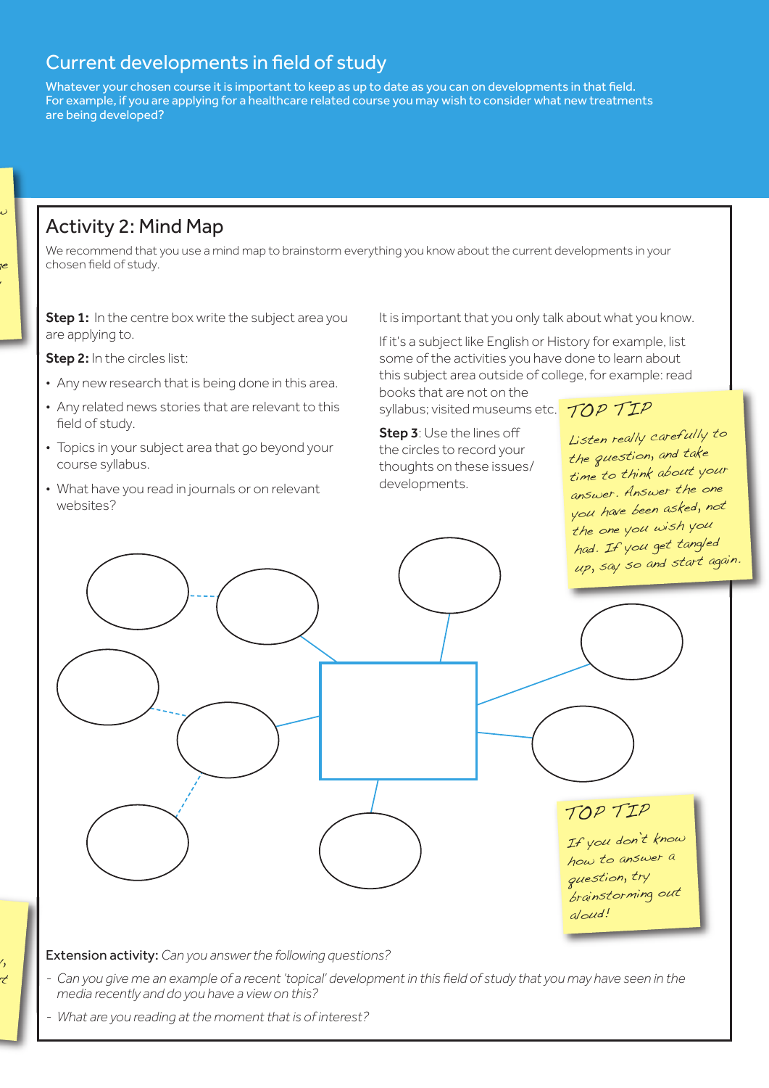## Current developments in field of study

Whatever your chosen course it is important to keep as up to date as you can on developments in that field. For example, if you are applying for a healthcare related course you may wish to consider what new treatments are being developed?

## Activity 2: Mind Map

w

1e y

We recommend that you use a mind map to brainstorm everything you know about the current developments in your chosen field of study.

Step 1: In the centre box write the subject area you are applying to.

Step 2: In the circles list:

- Any new research that is being done in this area.
- Any related news stories that are relevant to this field of study.
- Topics in your subject area that go beyond your course syllabus.
- What have you read in journals or on relevant websites?

It is important that you only talk about what you know.

If it's a subject like English or History for example, list some of the activities you have done to learn about this subject area outside of college, for example: read

books that are not on the syllabus; visited museums etc. TOP TIP

Step 3: Use the lines off the circles to record your thoughts on these issues/ developments.

Listen really carefully to the question, and take time to think about your answer. Answer the one you have been asked, not the one you wish you had. If you get tangled up, say so and start again.



Extension activity: *Can you answerthe following questions?*

- Can you give me an example of a recent 'topical' development in this field of study that you may have seen in the *media recently and do you have a view on this?*
- *- What are you reading at the moment that is of interest?*

 $\prime$ ut